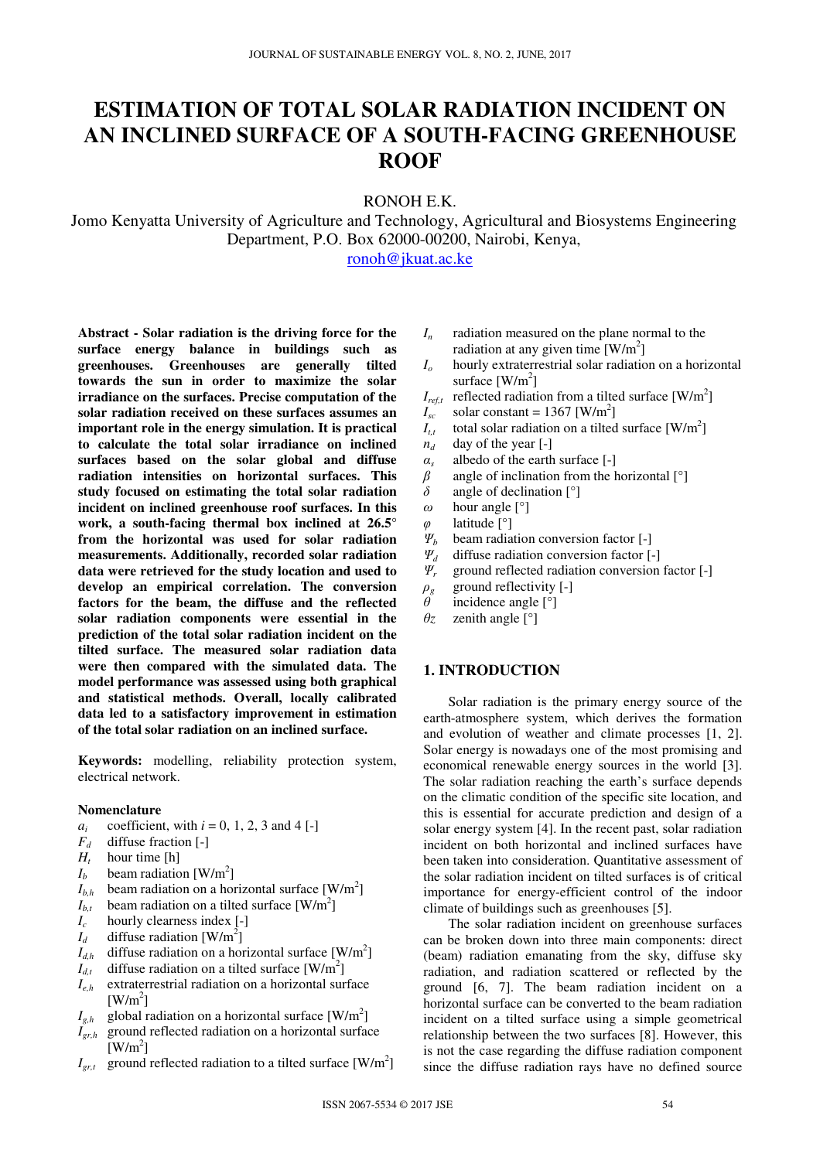# **ESTIMATION OF TOTAL SOLAR RADIATION INCIDENT ON AN INCLINED SURFACE OF A SOUTH-FACING GREENHOUSE ROOF**

RONOH E.K.

Jomo Kenyatta University of Agriculture and Technology, Agricultural and Biosystems Engineering Department, P.O. Box 62000-00200, Nairobi, Kenya,

ronoh@jkuat.ac.ke

**Abstract - Solar radiation is the driving force for the surface energy balance in buildings such as greenhouses. Greenhouses are generally tilted towards the sun in order to maximize the solar irradiance on the surfaces. Precise computation of the solar radiation received on these surfaces assumes an important role in the energy simulation. It is practical to calculate the total solar irradiance on inclined surfaces based on the solar global and diffuse radiation intensities on horizontal surfaces. This study focused on estimating the total solar radiation incident on inclined greenhouse roof surfaces. In this work, a south-facing thermal box inclined at 26.5° from the horizontal was used for solar radiation measurements. Additionally, recorded solar radiation data were retrieved for the study location and used to develop an empirical correlation. The conversion factors for the beam, the diffuse and the reflected solar radiation components were essential in the prediction of the total solar radiation incident on the tilted surface. The measured solar radiation data were then compared with the simulated data. The model performance was assessed using both graphical and statistical methods. Overall, locally calibrated data led to a satisfactory improvement in estimation of the total solar radiation on an inclined surface.** 

**Keywords:** modelling, reliability protection system, electrical network.

### **Nomenclature**

- $a_i$ <br> $F_d$ coefficient, with  $i = 0, 1, 2, 3$  and  $4$  [-]
- *Fd* diffuse fraction [-]
- *Ht* hour time [h]
- $I_b$  beam radiation [W/m<sup>2</sup>]
- $I_{b,h}$  beam radiation on a horizontal surface [W/m<sup>2</sup>]
- $I_{b,t}$  beam radiation on a tilted surface [W/m<sup>2</sup>]
- *Ic* hourly clearness index [-]
- $I_d$  diffuse radiation [W/m<sup>2</sup>]
- $I_{d,h}$  diffuse radiation on a horizontal surface [W/m<sup>2</sup>]
- $I_{d,t}$  diffuse radiation on a tilted surface [W/m<sup>2</sup>]
- *Ie,h* extraterrestrial radiation on a horizontal surface  $[W/m^2]$
- $I_{g,h}$  global radiation on a horizontal surface [W/m<sup>2</sup>]
- *Igr,h* ground reflected radiation on a horizontal surface  $[$ W/m<sup>2</sup> $]$
- $I_{gr,t}$  ground reflected radiation to a tilted surface [W/m<sup>2</sup>]
- *In* radiation measured on the plane normal to the radiation at any given time  $[W/m^2]$
- *Io* hourly extraterrestrial solar radiation on a horizontal surface  $[W/m^2]$
- $I_{ref,t}$  reflected radiation from a tilted surface [W/m<sup>2</sup>]
- $I_{\text{sc}}$  solar constant = 1367 [W/m<sup>2</sup>]
- $I_{t,t}$  total solar radiation on a tilted surface [W/m<sup>2</sup>]
- $n_d$  day of the year [-]
- *αs* albedo of the earth surface [-]
- *β* angle of inclination from the horizontal [°]
- *δ* angle of declination [°]
- *ω* hour angle [°]
- *φ* latitude [°]<br>*Ψ<sub>b</sub>* beam radia
- **beam radiation conversion factor [-]**
- *Ψd* diffuse radiation conversion factor [-]
- *Ψr* ground reflected radiation conversion factor [-]
- $\rho$ <sup>*g*</sup> ground reflectivity [-]
- *θ* incidence angle [°]
- *θz* zenith angle [°]

# **1. INTRODUCTION**

Solar radiation is the primary energy source of the earth-atmosphere system, which derives the formation and evolution of weather and climate processes [1, 2]. Solar energy is nowadays one of the most promising and economical renewable energy sources in the world [3]. The solar radiation reaching the earth's surface depends on the climatic condition of the specific site location, and this is essential for accurate prediction and design of a solar energy system [4]. In the recent past, solar radiation incident on both horizontal and inclined surfaces have been taken into consideration. Quantitative assessment of the solar radiation incident on tilted surfaces is of critical importance for energy-efficient control of the indoor climate of buildings such as greenhouses [5].

The solar radiation incident on greenhouse surfaces can be broken down into three main components: direct (beam) radiation emanating from the sky, diffuse sky radiation, and radiation scattered or reflected by the ground [6, 7]. The beam radiation incident on a horizontal surface can be converted to the beam radiation incident on a tilted surface using a simple geometrical relationship between the two surfaces [8]. However, this is not the case regarding the diffuse radiation component since the diffuse radiation rays have no defined source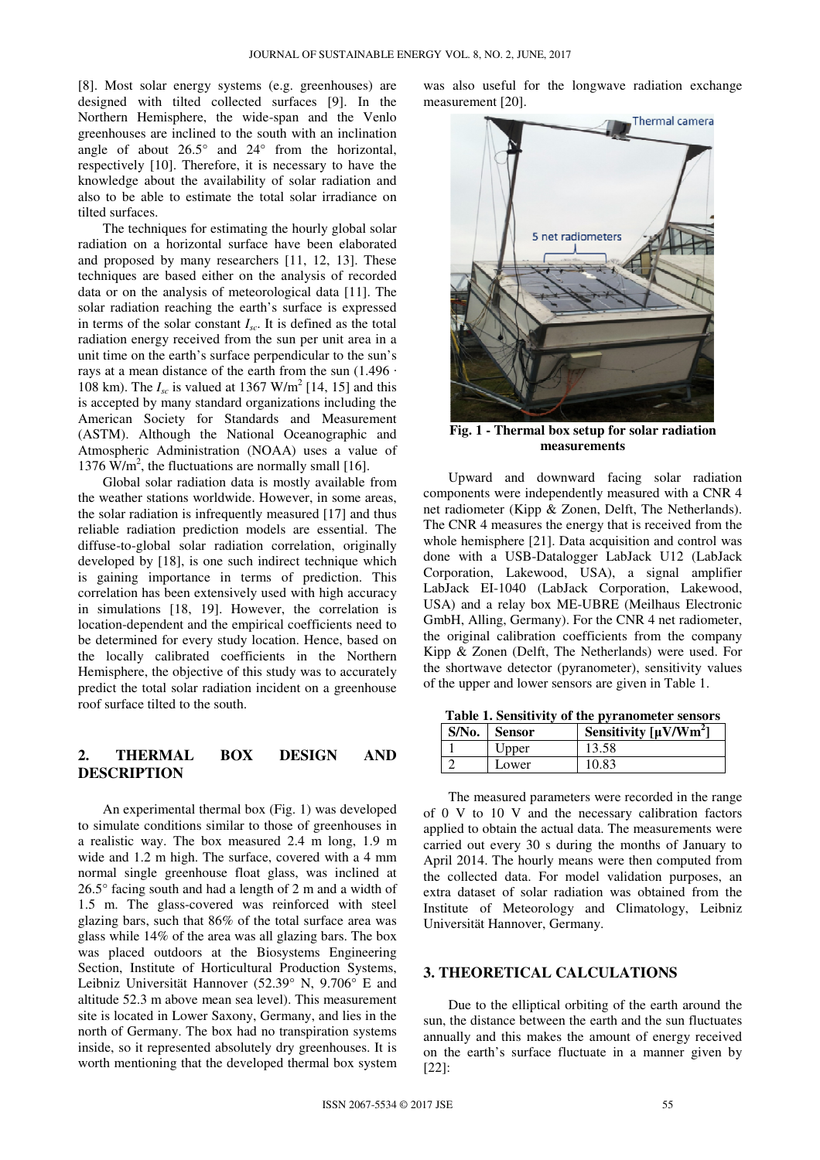[8]. Most solar energy systems (e.g. greenhouses) are designed with tilted collected surfaces [9]. In the Northern Hemisphere, the wide-span and the Venlo greenhouses are inclined to the south with an inclination angle of about  $26.5^{\circ}$  and  $24^{\circ}$  from the horizontal, respectively [10]. Therefore, it is necessary to have the knowledge about the availability of solar radiation and also to be able to estimate the total solar irradiance on tilted surfaces.

The techniques for estimating the hourly global solar radiation on a horizontal surface have been elaborated and proposed by many researchers [11, 12, 13]. These techniques are based either on the analysis of recorded data or on the analysis of meteorological data [11]. The solar radiation reaching the earth's surface is expressed in terms of the solar constant  $I_{sc}$ . It is defined as the total radiation energy received from the sun per unit area in a unit time on the earth's surface perpendicular to the sun's rays at a mean distance of the earth from the sun  $(1.496 \cdot$ 108 km). The  $I_{sc}$  is valued at 1367 W/m<sup>2</sup> [14, 15] and this is accepted by many standard organizations including the American Society for Standards and Measurement (ASTM). Although the National Oceanographic and Atmospheric Administration (NOAA) uses a value of 1376  $\text{W/m}^2$ , the fluctuations are normally small [16].

Global solar radiation data is mostly available from the weather stations worldwide. However, in some areas, the solar radiation is infrequently measured [17] and thus reliable radiation prediction models are essential. The diffuse-to-global solar radiation correlation, originally developed by [18], is one such indirect technique which is gaining importance in terms of prediction. This correlation has been extensively used with high accuracy in simulations [18, 19]. However, the correlation is location-dependent and the empirical coefficients need to be determined for every study location. Hence, based on the locally calibrated coefficients in the Northern Hemisphere, the objective of this study was to accurately predict the total solar radiation incident on a greenhouse roof surface tilted to the south.

## **2. THERMAL BOX DESIGN AND DESCRIPTION**

An experimental thermal box (Fig. 1) was developed to simulate conditions similar to those of greenhouses in a realistic way. The box measured 2.4 m long, 1.9 m wide and 1.2 m high. The surface, covered with a 4 mm normal single greenhouse float glass, was inclined at 26.5° facing south and had a length of 2 m and a width of 1.5 m. The glass-covered was reinforced with steel glazing bars, such that 86% of the total surface area was glass while 14% of the area was all glazing bars. The box was placed outdoors at the Biosystems Engineering Section, Institute of Horticultural Production Systems, Leibniz Universität Hannover (52.39° N, 9.706° E and altitude 52.3 m above mean sea level). This measurement site is located in Lower Saxony, Germany, and lies in the north of Germany. The box had no transpiration systems inside, so it represented absolutely dry greenhouses. It is worth mentioning that the developed thermal box system

was also useful for the longwave radiation exchange measurement [20].



**Fig. 1 - Thermal box setup for solar radiation measurements** 

Upward and downward facing solar radiation components were independently measured with a CNR 4 net radiometer (Kipp & Zonen, Delft, The Netherlands). The CNR 4 measures the energy that is received from the whole hemisphere [21]. Data acquisition and control was done with a USB-Datalogger LabJack U12 (LabJack Corporation, Lakewood, USA), a signal amplifier LabJack EI-1040 (LabJack Corporation, Lakewood, USA) and a relay box ME-UBRE (Meilhaus Electronic GmbH, Alling, Germany). For the CNR 4 net radiometer, the original calibration coefficients from the company Kipp & Zonen (Delft, The Netherlands) were used. For the shortwave detector (pyranometer), sensitivity values of the upper and lower sensors are given in Table 1.

| $S/N0$ . | <b>Sensor</b> | Sensitivity $\left[\mu V/Wm^2\right]$ |
|----------|---------------|---------------------------------------|
|          | Upper         | 13.58                                 |
|          | Lower         | 10.83                                 |

**Table 1. Sensitivity of the pyranometer sensors** 

The measured parameters were recorded in the range of 0 V to 10 V and the necessary calibration factors applied to obtain the actual data. The measurements were carried out every 30 s during the months of January to April 2014. The hourly means were then computed from the collected data. For model validation purposes, an extra dataset of solar radiation was obtained from the Institute of Meteorology and Climatology, Leibniz Universität Hannover, Germany.

## **3. THEORETICAL CALCULATIONS**

Due to the elliptical orbiting of the earth around the sun, the distance between the earth and the sun fluctuates annually and this makes the amount of energy received on the earth's surface fluctuate in a manner given by  $[22]$ :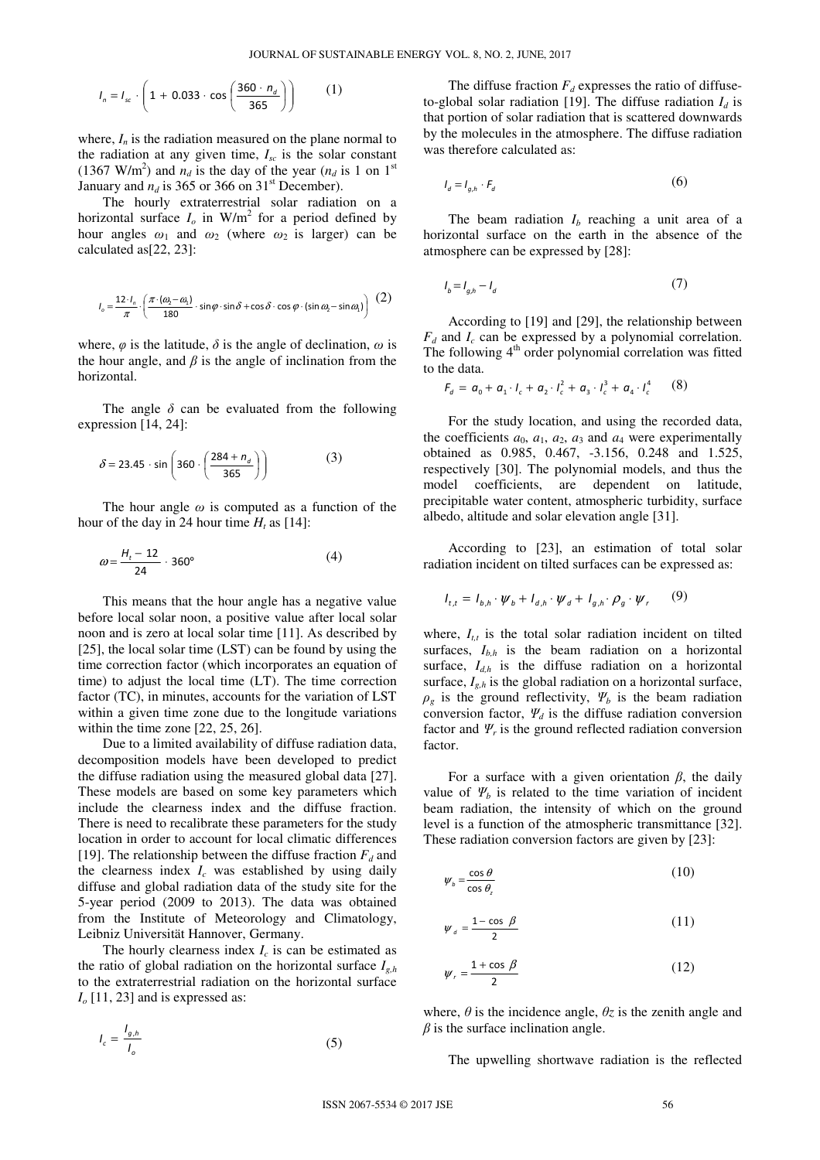$$
I_n = I_{sc} \cdot \left(1 + 0.033 \cdot \cos\left(\frac{360 \cdot n_d}{365}\right)\right) \tag{1}
$$

where,  $I_n$  is the radiation measured on the plane normal to the radiation at any given time,  $I_{sc}$  is the solar constant (1367 W/m<sup>2</sup>) and  $n_d$  is the day of the year ( $n_d$  is 1 on 1<sup>st</sup>) January and  $n_d$  is 365 or 366 on 31<sup>st</sup> December).

The hourly extraterrestrial solar radiation on a horizontal surface  $I_0$  in W/m<sup>2</sup> for a period defined by hour angles  $\omega_1$  and  $\omega_2$  (where  $\omega_2$  is larger) can be calculated as[22, 23]:

$$
I_o = \frac{12 \cdot I_n}{\pi} \cdot \left( \frac{\pi \cdot (\omega_2 - \omega_1)}{180} \cdot \sin \varphi \cdot \sin \delta + \cos \delta \cdot \cos \varphi \cdot (\sin \omega_2 - \sin \omega_1) \right) (2)
$$

where,  $\varphi$  is the latitude,  $\delta$  is the angle of declination,  $\omega$  is the hour angle, and  $\beta$  is the angle of inclination from the horizontal.

The angle  $\delta$  can be evaluated from the following expression [14, 24]:

$$
\delta = 23.45 \cdot \sin\left(360 \cdot \left(\frac{284 + n_d}{365}\right)\right) \tag{3}
$$

The hour angle *ω* is computed as a function of the hour of the day in 24 hour time  $H_t$  as [14]:

$$
\omega = \frac{H_t - 12}{24} \cdot 360^\circ \tag{4}
$$

This means that the hour angle has a negative value before local solar noon, a positive value after local solar noon and is zero at local solar time [11]. As described by [25], the local solar time (LST) can be found by using the time correction factor (which incorporates an equation of time) to adjust the local time (LT). The time correction factor (TC), in minutes, accounts for the variation of LST within a given time zone due to the longitude variations within the time zone [22, 25, 26].

 Due to a limited availability of diffuse radiation data, decomposition models have been developed to predict the diffuse radiation using the measured global data [27]. These models are based on some key parameters which include the clearness index and the diffuse fraction. There is need to recalibrate these parameters for the study location in order to account for local climatic differences [19]. The relationship between the diffuse fraction  $F_d$  and the clearness index  $I_c$  was established by using daily diffuse and global radiation data of the study site for the 5-year period (2009 to 2013). The data was obtained from the Institute of Meteorology and Climatology, Leibniz Universität Hannover, Germany.

The hourly clearness index  $I_c$  is can be estimated as the ratio of global radiation on the horizontal surface  $I_{g,h}$ to the extraterrestrial radiation on the horizontal surface  $I<sub>o</sub>$  [11, 23] and is expressed as:

$$
I_c = \frac{I_{g,h}}{I_o} \tag{5}
$$

The diffuse fraction  $F_d$  expresses the ratio of diffuseto-global solar radiation [19]. The diffuse radiation  $I_d$  is that portion of solar radiation that is scattered downwards by the molecules in the atmosphere. The diffuse radiation was therefore calculated as:

$$
I_d = I_{g,h} \cdot F_d \tag{6}
$$

The beam radiation  $I_b$  reaching a unit area of a horizontal surface on the earth in the absence of the atmosphere can be expressed by [28]:

$$
I_b = I_{g,h} - I_d \tag{7}
$$

According to [19] and [29], the relationship between  $F_d$  and  $I_c$  can be expressed by a polynomial correlation. The following  $4<sup>th</sup>$  order polynomial correlation was fitted to the data.

$$
F_a = a_0 + a_1 \cdot l_c + a_2 \cdot l_c^2 + a_3 \cdot l_c^3 + a_4 \cdot l_c^4 \qquad (8)
$$

For the study location, and using the recorded data, the coefficients  $a_0$ ,  $a_1$ ,  $a_2$ ,  $a_3$  and  $a_4$  were experimentally obtained as 0.985, 0.467, -3.156, 0.248 and 1.525, respectively [30]. The polynomial models, and thus the model coefficients, are dependent on latitude, precipitable water content, atmospheric turbidity, surface albedo, altitude and solar elevation angle [31].

According to [23], an estimation of total solar radiation incident on tilted surfaces can be expressed as:

$$
I_{t,t} = I_{b,h} \cdot \psi_b + I_{d,h} \cdot \psi_d + I_{g,h} \cdot \rho_g \cdot \psi_r \qquad (9)
$$

where,  $I_{tt}$  is the total solar radiation incident on tilted surfaces,  $I_{b,h}$  is the beam radiation on a horizontal surface,  $I_{d,h}$  is the diffuse radiation on a horizontal surface,  $I_{g,h}$  is the global radiation on a horizontal surface,  $\rho_g$  is the ground reflectivity,  $\Psi_b$  is the beam radiation conversion factor,  $\Psi_d$  is the diffuse radiation conversion factor and  $\Psi_r$  is the ground reflected radiation conversion factor.

For a surface with a given orientation  $\beta$ , the daily value of  $\Psi_b$  is related to the time variation of incident beam radiation, the intensity of which on the ground level is a function of the atmospheric transmittance [32]. These radiation conversion factors are given by [23]:

$$
\psi_b = \frac{\cos \theta}{\cos \theta_z} \tag{10}
$$

$$
\psi_{d} = \frac{1 - \cos \beta}{2} \tag{11}
$$

$$
\psi_r = \frac{1 + \cos \beta}{2} \tag{12}
$$

where,  $\theta$  is the incidence angle,  $\theta$ *z* is the zenith angle and *β* is the surface inclination angle.

The upwelling shortwave radiation is the reflected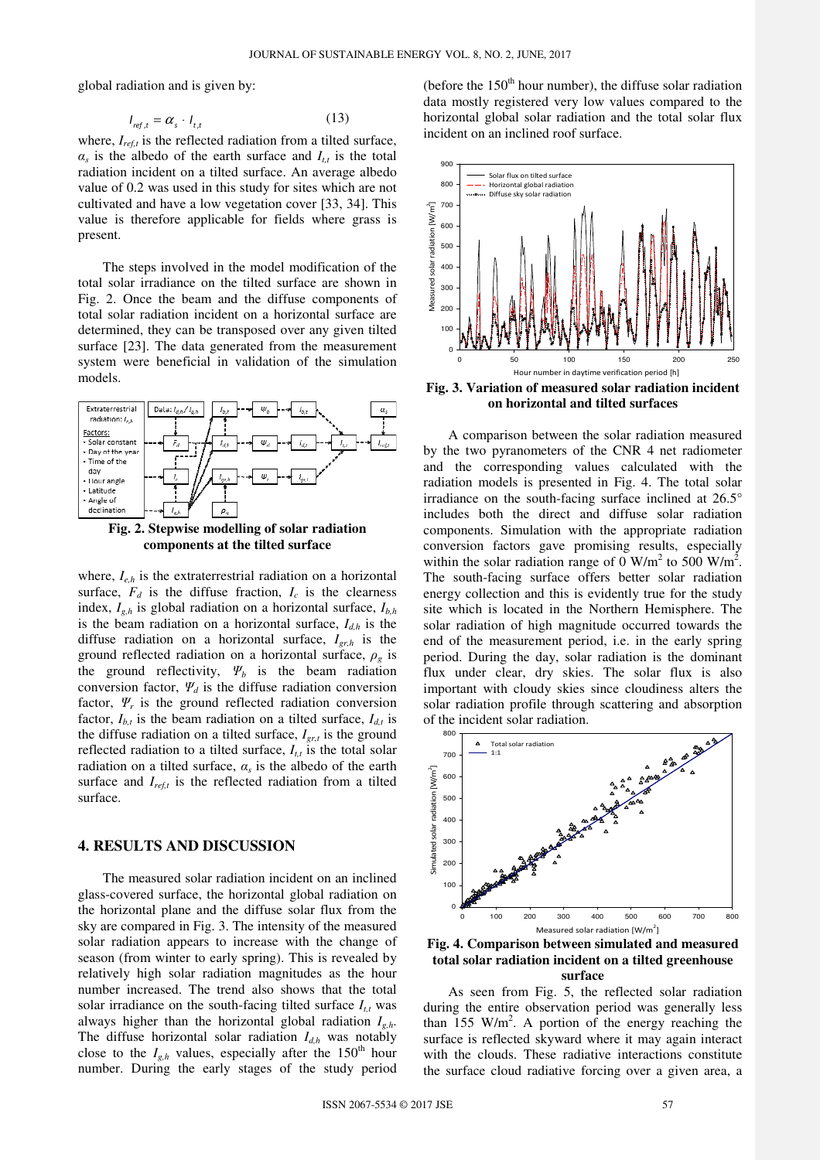global radiation and is given by:

$$
I_{ref,t} = \alpha_s \cdot I_{t,t} \tag{13}
$$

where,  $I_{ref, t}$  is the reflected radiation from a tilted surface,  $\alpha_s$  is the albedo of the earth surface and  $I_{t,t}$  is the total radiation incident on a tilted surface. An average albedo value of 0.2 was used in this study for sites which are not cultivated and have a low vegetation cover [33, 34]. This value is therefore applicable for fields where grass is present.

The steps involved in the model modification of the total solar irradiance on the tilted surface are shown in Fig. 2. Once the beam and the diffuse components of total solar radiation incident on a horizontal surface are determined, they can be transposed over any given tilted surface [23]. The data generated from the measurement system were beneficial in validation of the simulation models.





where, *Ie,h* is the extraterrestrial radiation on a horizontal surface,  $F_d$  is the diffuse fraction,  $I_c$  is the clearness index, *Ig,h* is global radiation on a horizontal surface, *Ib,h* is the beam radiation on a horizontal surface,  $I_{d,h}$  is the diffuse radiation on a horizontal surface, *Igr,h* is the ground reflected radiation on a horizontal surface,  $\rho_g$  is the ground reflectivity,  $\Psi_b$  is the beam radiation conversion factor,  $\Psi_d$  is the diffuse radiation conversion factor,  $\Psi_r$  is the ground reflected radiation conversion factor,  $I_{h,t}$  is the beam radiation on a tilted surface,  $I_{d,t}$  is the diffuse radiation on a tilted surface,  $I_{\text{er},t}$  is the ground reflected radiation to a tilted surface,  $I_{t,t}$  is the total solar radiation on a tilted surface, *α<sup>s</sup>* is the albedo of the earth surface and  $I_{reft}$  is the reflected radiation from a tilted surface.

### **4. RESULTS AND DISCUSSION**

The measured solar radiation incident on an inclined glass-covered surface, the horizontal global radiation on the horizontal plane and the diffuse solar flux from the sky are compared in Fig. 3. The intensity of the measured solar radiation appears to increase with the change of season (from winter to early spring). This is revealed by relatively high solar radiation magnitudes as the hour number increased. The trend also shows that the total solar irradiance on the south-facing tilted surface  $I_{tt}$  was always higher than the horizontal global radiation *Ig,h*. The diffuse horizontal solar radiation  $I_{d,h}$  was notably close to the  $I_{g,h}$  values, especially after the 150<sup>th</sup> hour number. During the early stages of the study period

(before the  $150<sup>th</sup>$  hour number), the diffuse solar radiation data mostly registered very low values compared to the horizontal global solar radiation and the total solar flux incident on an inclined roof surface.



**Fig. 3. Variation of measured solar radiation incident on horizontal and tilted surfaces** 

A comparison between the solar radiation measured by the two pyranometers of the CNR 4 net radiometer and the corresponding values calculated with the radiation models is presented in Fig. 4. The total solar irradiance on the south-facing surface inclined at 26.5° includes both the direct and diffuse solar radiation components. Simulation with the appropriate radiation conversion factors gave promising results, especially within the solar radiation range of  $0 \text{ W/m}^2$  to 500 W/m<sup>2</sup>. The south-facing surface offers better solar radiation energy collection and this is evidently true for the study site which is located in the Northern Hemisphere. The solar radiation of high magnitude occurred towards the end of the measurement period, i.e. in the early spring period. During the day, solar radiation is the dominant flux under clear, dry skies. The solar flux is also important with cloudy skies since cloudiness alters the solar radiation profile through scattering and absorption of the incident solar radiation.



**Fig. 4. Comparison between simulated and measured total solar radiation incident on a tilted greenhouse surface** 

As seen from Fig. 5, the reflected solar radiation during the entire observation period was generally less than  $155$  W/m<sup>2</sup>. A portion of the energy reaching the surface is reflected skyward where it may again interact with the clouds. These radiative interactions constitute the surface cloud radiative forcing over a given area, a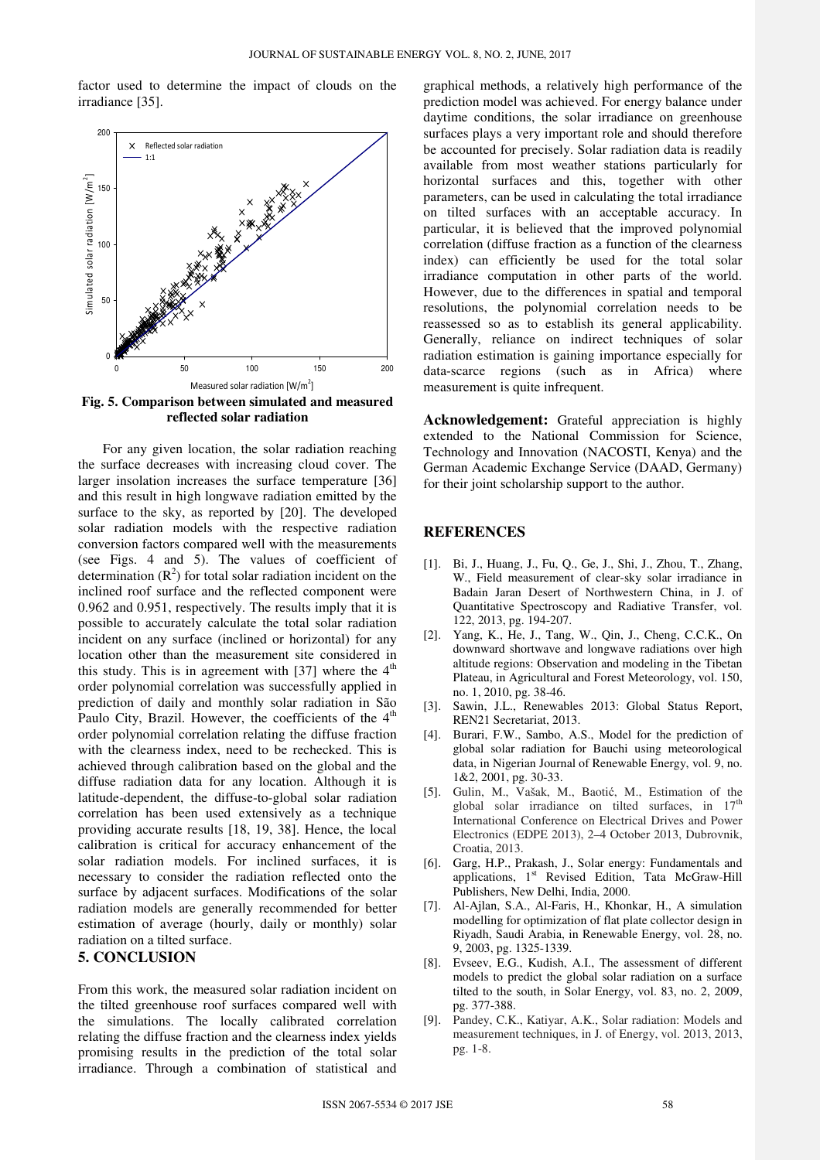factor used to determine the impact of clouds on the irradiance [35].



**Fig. 5. Comparison between simulated and measured reflected solar radiation** 

For any given location, the solar radiation reaching the surface decreases with increasing cloud cover. The larger insolation increases the surface temperature [36] and this result in high longwave radiation emitted by the surface to the sky, as reported by [20]. The developed solar radiation models with the respective radiation conversion factors compared well with the measurements (see Figs. 4 and 5). The values of coefficient of determination  $(R<sup>2</sup>)$  for total solar radiation incident on the inclined roof surface and the reflected component were 0.962 and 0.951, respectively. The results imply that it is possible to accurately calculate the total solar radiation incident on any surface (inclined or horizontal) for any location other than the measurement site considered in this study. This is in agreement with [37] where the  $4<sup>th</sup>$ order polynomial correlation was successfully applied in prediction of daily and monthly solar radiation in São Paulo City, Brazil. However, the coefficients of the  $4<sup>th</sup>$ order polynomial correlation relating the diffuse fraction with the clearness index, need to be rechecked. This is achieved through calibration based on the global and the diffuse radiation data for any location. Although it is latitude-dependent, the diffuse-to-global solar radiation correlation has been used extensively as a technique providing accurate results [18, 19, 38]. Hence, the local calibration is critical for accuracy enhancement of the solar radiation models. For inclined surfaces, it is necessary to consider the radiation reflected onto the surface by adjacent surfaces. Modifications of the solar radiation models are generally recommended for better estimation of average (hourly, daily or monthly) solar radiation on a tilted surface.

# **5. CONCLUSION**

From this work, the measured solar radiation incident on the tilted greenhouse roof surfaces compared well with the simulations. The locally calibrated correlation relating the diffuse fraction and the clearness index yields promising results in the prediction of the total solar irradiance. Through a combination of statistical and

graphical methods, a relatively high performance of the prediction model was achieved. For energy balance under daytime conditions, the solar irradiance on greenhouse surfaces plays a very important role and should therefore be accounted for precisely. Solar radiation data is readily available from most weather stations particularly for horizontal surfaces and this, together with other parameters, can be used in calculating the total irradiance on tilted surfaces with an acceptable accuracy. In particular, it is believed that the improved polynomial correlation (diffuse fraction as a function of the clearness index) can efficiently be used for the total solar irradiance computation in other parts of the world. However, due to the differences in spatial and temporal resolutions, the polynomial correlation needs to be reassessed so as to establish its general applicability. Generally, reliance on indirect techniques of solar radiation estimation is gaining importance especially for data-scarce regions (such as in Africa) where measurement is quite infrequent.

**Acknowledgement:** Grateful appreciation is highly extended to the National Commission for Science, Technology and Innovation (NACOSTI, Kenya) and the German Academic Exchange Service (DAAD, Germany) for their joint scholarship support to the author.

## **REFERENCES**

- [1]. Bi, J., Huang, J., Fu, Q., Ge, J., Shi, J., Zhou, T., Zhang, W., Field measurement of clear-sky solar irradiance in Badain Jaran Desert of Northwestern China, in J. of Quantitative Spectroscopy and Radiative Transfer, vol. 122, 2013, pg. 194-207.
- [2]. Yang, K., He, J., Tang, W., Qin, J., Cheng, C.C.K., On downward shortwave and longwave radiations over high altitude regions: Observation and modeling in the Tibetan Plateau, in Agricultural and Forest Meteorology, vol. 150, no. 1, 2010, pg. 38-46.
- [3]. Sawin, J.L., Renewables 2013: Global Status Report, REN21 Secretariat, 2013.
- [4]. Burari, F.W., Sambo, A.S., Model for the prediction of global solar radiation for Bauchi using meteorological data, in Nigerian Journal of Renewable Energy, vol. 9, no. 1&2, 2001, pg. 30-33.
- [5]. Gulin, M., Vašak, M., Baotić, M., Estimation of the global solar irradiance on tilted surfaces, in  $17<sup>th</sup>$ International Conference on Electrical Drives and Power Electronics (EDPE 2013), 2–4 October 2013, Dubrovnik, Croatia, 2013.
- [6]. Garg, H.P., Prakash, J., Solar energy: Fundamentals and applications, 1<sup>st</sup> Revised Edition, Tata McGraw-Hill Publishers, New Delhi, India, 2000.
- [7]. Al-Ajlan, S.A., Al-Faris, H., Khonkar, H., A simulation modelling for optimization of flat plate collector design in Riyadh, Saudi Arabia, in Renewable Energy, vol. 28, no. 9, 2003, pg. 1325-1339.
- [8]. Evseev, E.G., Kudish, A.I., The assessment of different models to predict the global solar radiation on a surface tilted to the south, in Solar Energy, vol. 83, no. 2, 2009, pg. 377-388.
- [9]. Pandey, C.K., Katiyar, A.K., Solar radiation: Models and measurement techniques, in J. of Energy, vol. 2013, 2013, pg. 1-8.